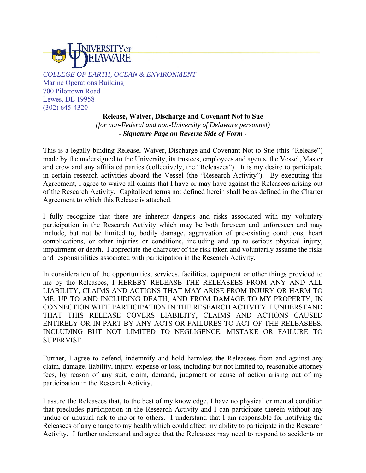

*COLLEGE OF EARTH, OCEAN & ENVIRONMENT* Marine Operations Building 700 Pilottown Road Lewes, DE 19958 (302) 645-4320

> **Release, Waiver, Discharge and Covenant Not to Sue**  *(for non-Federal and non-University of Delaware personnel) - Signature Page on Reverse Side of Form -*

This is a legally-binding Release, Waiver, Discharge and Covenant Not to Sue (this "Release") made by the undersigned to the University, its trustees, employees and agents, the Vessel, Master and crew and any affiliated parties (collectively, the "Releasees"). It is my desire to participate in certain research activities aboard the Vessel (the "Research Activity"). By executing this Agreement, I agree to waive all claims that I have or may have against the Releasees arising out of the Research Activity. Capitalized terms not defined herein shall be as defined in the Charter Agreement to which this Release is attached.

I fully recognize that there are inherent dangers and risks associated with my voluntary participation in the Research Activity which may be both foreseen and unforeseen and may include, but not be limited to, bodily damage, aggravation of pre-existing conditions, heart complications, or other injuries or conditions, including and up to serious physical injury, impairment or death. I appreciate the character of the risk taken and voluntarily assume the risks and responsibilities associated with participation in the Research Activity.

In consideration of the opportunities, services, facilities, equipment or other things provided to me by the Releasees, I HEREBY RELEASE THE RELEASEES FROM ANY AND ALL LIABILITY, CLAIMS AND ACTIONS THAT MAY ARISE FROM INJURY OR HARM TO ME, UP TO AND INCLUDING DEATH, AND FROM DAMAGE TO MY PROPERTY, IN CONNECTION WITH PARTICIPATION IN THE RESEARCH ACTIVITY. I UNDERSTAND THAT THIS RELEASE COVERS LIABILITY, CLAIMS AND ACTIONS CAUSED ENTIRELY OR IN PART BY ANY ACTS OR FAILURES TO ACT OF THE RELEASEES, INCLUDING BUT NOT LIMITED TO NEGLIGENCE, MISTAKE OR FAILURE TO SUPERVISE.

Further, I agree to defend, indemnify and hold harmless the Releasees from and against any claim, damage, liability, injury, expense or loss, including but not limited to, reasonable attorney fees, by reason of any suit, claim, demand, judgment or cause of action arising out of my participation in the Research Activity.

I assure the Releasees that, to the best of my knowledge, I have no physical or mental condition that precludes participation in the Research Activity and I can participate therein without any undue or unusual risk to me or to others. I understand that I am responsible for notifying the Releasees of any change to my health which could affect my ability to participate in the Research Activity. I further understand and agree that the Releasees may need to respond to accidents or